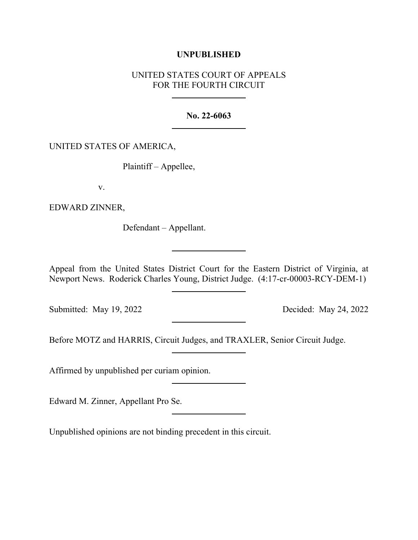## **UNPUBLISHED**

## UNITED STATES COURT OF APPEALS FOR THE FOURTH CIRCUIT

## **No. 22-6063**

## UNITED STATES OF AMERICA,

Plaintiff – Appellee,

v.

EDWARD ZINNER,

Defendant – Appellant.

Appeal from the United States District Court for the Eastern District of Virginia, at Newport News. Roderick Charles Young, District Judge. (4:17-cr-00003-RCY-DEM-1)

Submitted: May 19, 2022 Decided: May 24, 2022

Before MOTZ and HARRIS, Circuit Judges, and TRAXLER, Senior Circuit Judge.

Affirmed by unpublished per curiam opinion.

Edward M. Zinner, Appellant Pro Se.

Unpublished opinions are not binding precedent in this circuit.